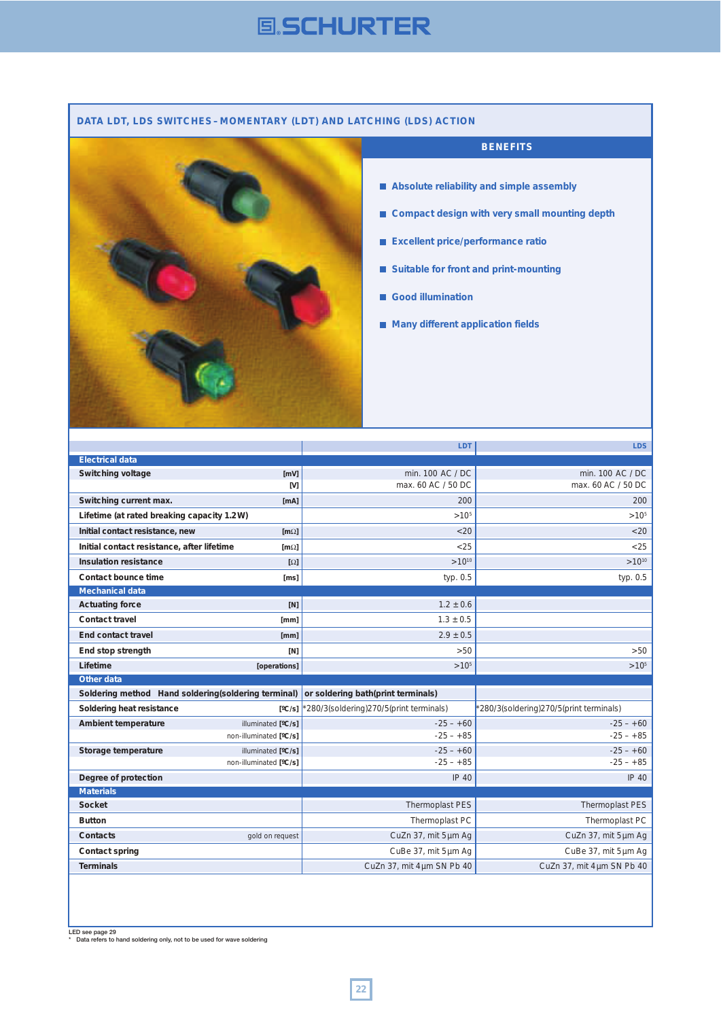# **国、SCHURTER**

### **DATA LDT, LDS SWITCHES – MOMENTARY (LDT) AND LATCHING (LDS) ACTION**



### **BENEFITS**

- **Absolute reliability and simple assembly**
- Compact design with very small mounting depth
- **Excellent price/performance ratio**
- **Suitable for front and print-mounting**
- **Good illumination**
- **Many different application fields**

|                                                      |                         | LDT                                    | LDS.                                   |
|------------------------------------------------------|-------------------------|----------------------------------------|----------------------------------------|
| <b>Electrical data</b>                               |                         |                                        |                                        |
| Switching voltage                                    | [mV]                    | min. 100 AC / DC                       | min. 100 AC / DC                       |
|                                                      | [V]                     | max. 60 AC / 50 DC                     | max. 60 AC / 50 DC                     |
| Switching current max.                               | [mA]                    | 200                                    | 200                                    |
| Lifetime (at rated breaking capacity 1.2W)           |                         | $>10^{5}$                              | $>10^{5}$                              |
| Initial contact resistance, new                      | [ $m\Omega$ ]           | < 20                                   | < 20                                   |
| Initial contact resistance, after lifetime           | $\lceil m\Omega \rceil$ | < 25                                   | < 25                                   |
| Insulation resistance                                | $[\Omega]$              | $>10^{10}$                             | $>10^{10}$                             |
| Contact bounce time                                  | [ms]                    | typ. 0.5                               | typ. 0.5                               |
| <b>Mechanical data</b>                               |                         |                                        |                                        |
| <b>Actuating force</b>                               | [N]                     | $1.2 \pm 0.6$                          |                                        |
| <b>Contact travel</b>                                | [mm]                    | $1.3 \pm 0.5$                          |                                        |
| <b>End contact travel</b>                            | [mm]                    | $2.9 \pm 0.5$                          |                                        |
| End stop strength                                    | [N]                     | > 50                                   | >50                                    |
|                                                      |                         |                                        |                                        |
| Lifetime                                             | [operations]            | $>10^{5}$                              | $>10^{5}$                              |
| Other data                                           |                         |                                        |                                        |
| Soldering method Hand soldering (soldering terminal) |                         | or soldering bath(print terminals)     |                                        |
| Soldering heat resistance                            | $\lceil$ °C/sl          | 280/3(soldering)270/5(print terminals) | 280/3(soldering)270/5(print terminals) |
| Ambient temperature                                  | illuminated [°C/s]      | $-25 - +60$                            | $-25 - +60$                            |
|                                                      | non-illuminated [°C/s]  | $-25 - +85$                            | $-25 - +85$                            |
| Storage temperature                                  | illuminated [°C/s]      | $-25 - +60$                            | $-25 - +60$                            |
|                                                      | non-illuminated [°C/s]  | $-25 - +85$                            | $-25 - +85$                            |
| Degree of protection                                 |                         | <b>IP 40</b>                           | <b>IP 40</b>                           |
| <b>Materials</b>                                     |                         |                                        |                                        |
| <b>Socket</b>                                        |                         | Thermoplast PES                        | Thermoplast PES                        |
| <b>Button</b>                                        |                         | Thermoplast PC                         | Thermoplast PC                         |
| Contacts                                             | gold on request         | CuZn 37, mit 5 µm Ag                   | CuZn 37, mit 5 um Ag                   |
| <b>Contact spring</b>                                |                         | CuBe 37, mit 5µm Ag                    | CuBe 37, mit 5 µm Ag                   |
| <b>Terminals</b>                                     |                         | CuZn 37, mit 4um SN Pb 40              | CuZn 37, mit 4um SN Pb 40              |

LED see page 29 \* Data refers to hand soldering only, not to be used for wave soldering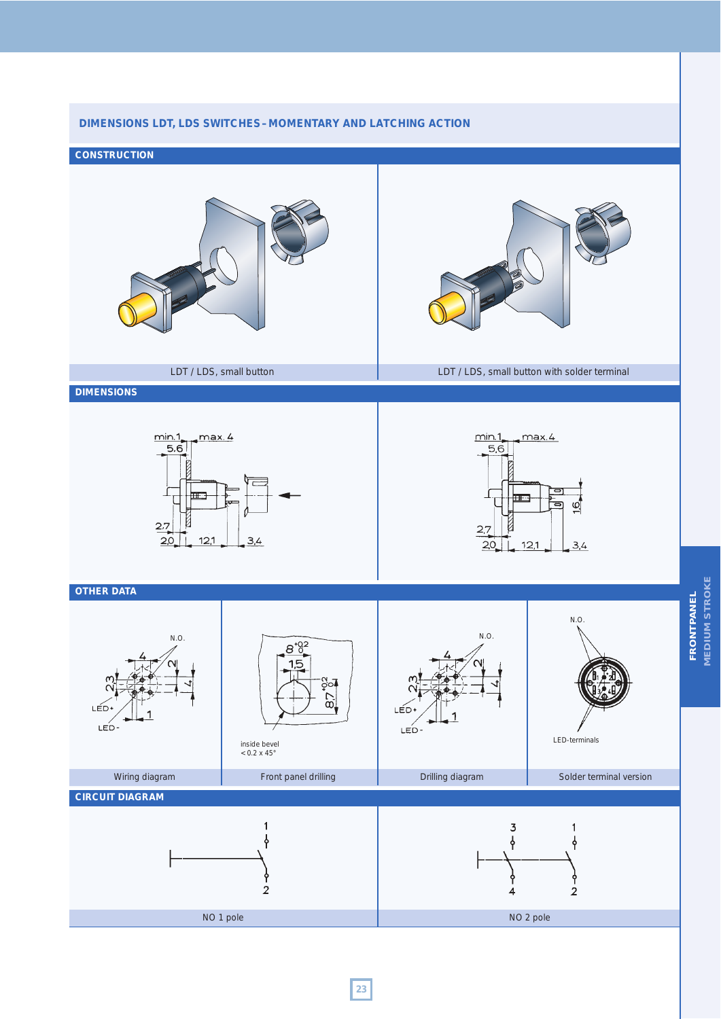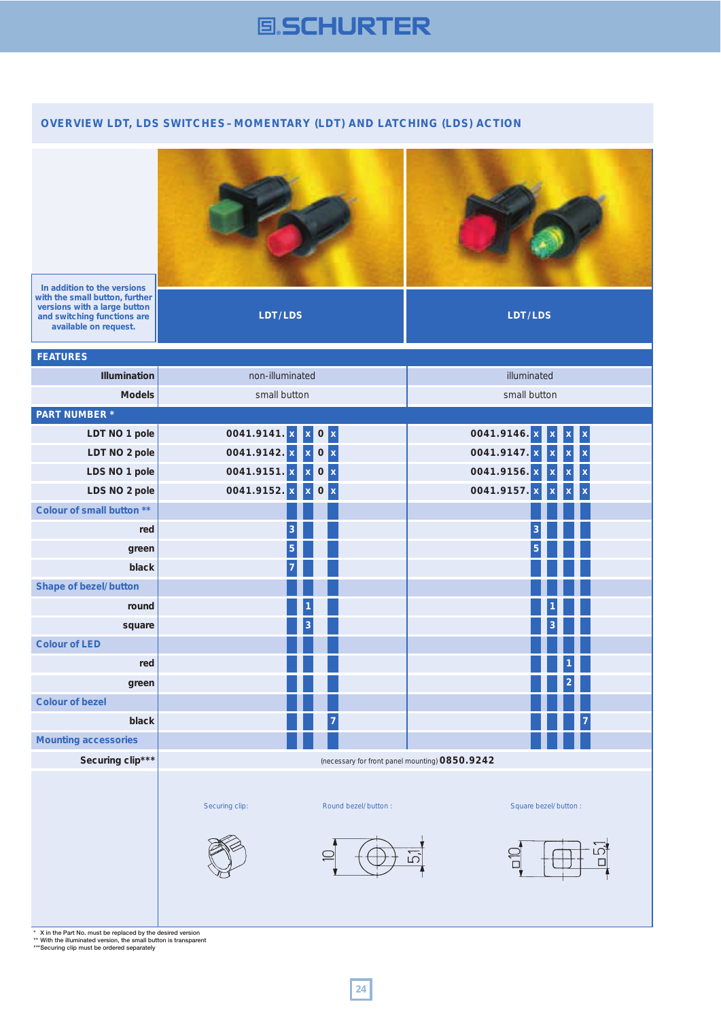# **国SCHURTER**

## **OVERVIEW LDT, LDS SWITCHES – MOMENTARY (LDT) AND LATCHING (LDS) ACTION**





**In addition to the versions with the small button, further versions with a large button and switching functions are available on request.**

**LDT/LDS LDT/LDS**

| <b>FEATURES</b>              |                                                             |                                         |  |  |  |
|------------------------------|-------------------------------------------------------------|-----------------------------------------|--|--|--|
| Illumination                 | non-illuminated                                             | illuminated                             |  |  |  |
| <b>Models</b>                | small button                                                | small button                            |  |  |  |
| <b>PART NUMBER*</b>          |                                                             |                                         |  |  |  |
| LDT NO 1 pole                | 0041.9141. x<br>0 x<br>$\mathbf x$                          | 0041.9146. x<br>X<br>X                  |  |  |  |
| LDT NO 2 pole                | 0041.9142. x<br>$\pmb{0}$<br>$\vert x \vert$<br>$\mathbf x$ | 0041.9147. x<br>$\bar{\mathbf{x}}$      |  |  |  |
| LDS NO 1 pole                | 0041.9151. x<br>$\vert x \vert$<br>$\pmb{0}$<br>$\mathbf x$ | 0041.9156. x<br>$\overline{\mathbf{x}}$ |  |  |  |
| LDS NO 2 pole                | 0041.9152.x<br>$\pmb{0}$<br>$\vert x \vert$<br>$\mathbf x$  | 0041.9157.<br>Ιx<br>X                   |  |  |  |
| Colour of small button **    |                                                             |                                         |  |  |  |
| red                          | 3                                                           |                                         |  |  |  |
| green                        | 5                                                           |                                         |  |  |  |
| black                        |                                                             |                                         |  |  |  |
| <b>Shape of bezel/button</b> |                                                             |                                         |  |  |  |
| round                        |                                                             |                                         |  |  |  |
| square                       |                                                             |                                         |  |  |  |
| <b>Colour of LED</b>         |                                                             |                                         |  |  |  |
| red                          |                                                             |                                         |  |  |  |
| green                        |                                                             |                                         |  |  |  |
| <b>Colour of bezel</b>       |                                                             |                                         |  |  |  |
| black                        |                                                             |                                         |  |  |  |
| <b>Mounting accessories</b>  |                                                             |                                         |  |  |  |
| Securing clip***             | (necessary for front panel mounting) 0850.9242              |                                         |  |  |  |
|                              | Securing clip:<br>Round bezel/button:                       | Square bezel/button:<br>LC.<br>ഥ        |  |  |  |

\* X in the Part No. must be replaced by the desired version \*\* With the illuminated version, the small button is transparent \*\*\*Securing clip must be ordered separately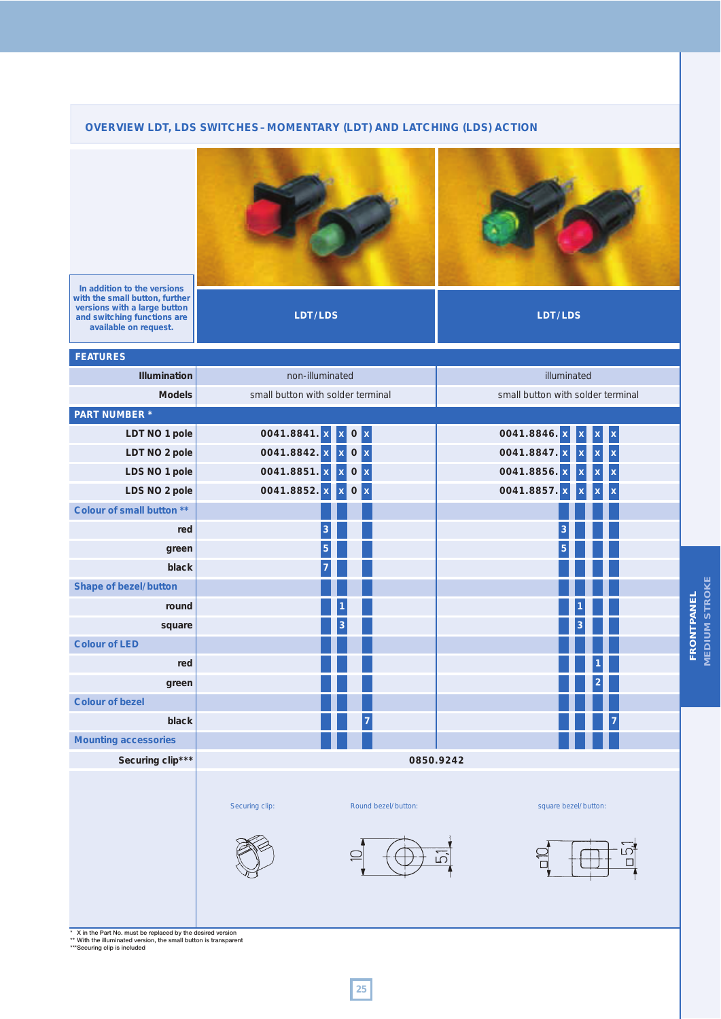## **OVERVIEW LDT, LDS SWITCHES–MOMENTARY (LDT) AND LATCHING (LDS) ACTION**



**LDT/LDS LDT/LDS**

**In addition to the versions with the small button, further versions with a large button and switching functions are available on request.**

| <b>FEATURES</b>                                           |                                                              |                                   |  |  |  |
|-----------------------------------------------------------|--------------------------------------------------------------|-----------------------------------|--|--|--|
| Illumination                                              | non-illuminated                                              | illuminated                       |  |  |  |
| <b>Models</b>                                             | small button with solder terminal                            | small button with solder terminal |  |  |  |
| <b>PART NUMBER*</b>                                       |                                                              |                                   |  |  |  |
| LDT NO 1 pole                                             | 0041.8841. x<br>$\bf{0}$<br>$\mathbf{x}$                     | 0041.8846.<br>X                   |  |  |  |
| LDT NO 2 pole                                             | $\vert$ x<br>0041.8842. x<br>$\pmb{0}$<br>X                  | 0041.8847.<br>x                   |  |  |  |
| LDS NO 1 pole                                             | 0041.8851. x<br>$\vert$ x<br>$\pmb{0}$<br>$\mathbf{x}$       | 0041.8856.<br>X                   |  |  |  |
| LDS NO 2 pole                                             | 0041.8852. x<br>$\pmb{0}$<br>$\vert x \vert$<br>$\mathbf{x}$ | 0041.8857. x<br>X<br>X            |  |  |  |
| Colour of small button **                                 |                                                              |                                   |  |  |  |
| red                                                       | 3                                                            |                                   |  |  |  |
| green                                                     | 5                                                            |                                   |  |  |  |
| black                                                     |                                                              |                                   |  |  |  |
| <b>Shape of bezel/button</b>                              |                                                              |                                   |  |  |  |
| round                                                     |                                                              |                                   |  |  |  |
| square                                                    |                                                              |                                   |  |  |  |
| <b>Colour of LED</b>                                      |                                                              |                                   |  |  |  |
| red                                                       |                                                              |                                   |  |  |  |
| green                                                     |                                                              |                                   |  |  |  |
| <b>Colour of bezel</b>                                    |                                                              |                                   |  |  |  |
| black                                                     | 7                                                            |                                   |  |  |  |
| <b>Mounting accessories</b>                               |                                                              |                                   |  |  |  |
| Securing clip***                                          | 0850.9242                                                    |                                   |  |  |  |
|                                                           |                                                              |                                   |  |  |  |
|                                                           | Securing clip:<br>Round bezel/button:                        | square bezel/button:              |  |  |  |
|                                                           |                                                              |                                   |  |  |  |
|                                                           |                                                              |                                   |  |  |  |
|                                                           |                                                              | ம<br>ம<br>П                       |  |  |  |
|                                                           |                                                              |                                   |  |  |  |
|                                                           |                                                              |                                   |  |  |  |
|                                                           |                                                              |                                   |  |  |  |
| X in the Part No. must be replaced by the desired version |                                                              |                                   |  |  |  |

**FRONTPANEL MEDIUM STROKE**

FRONTPANEL<br>MEDIUM STROKE

\* X in the Part No. must be replaced by the desired version \*\* With the illuminated version, the small button is transparent \*\*\*Securing clip is included